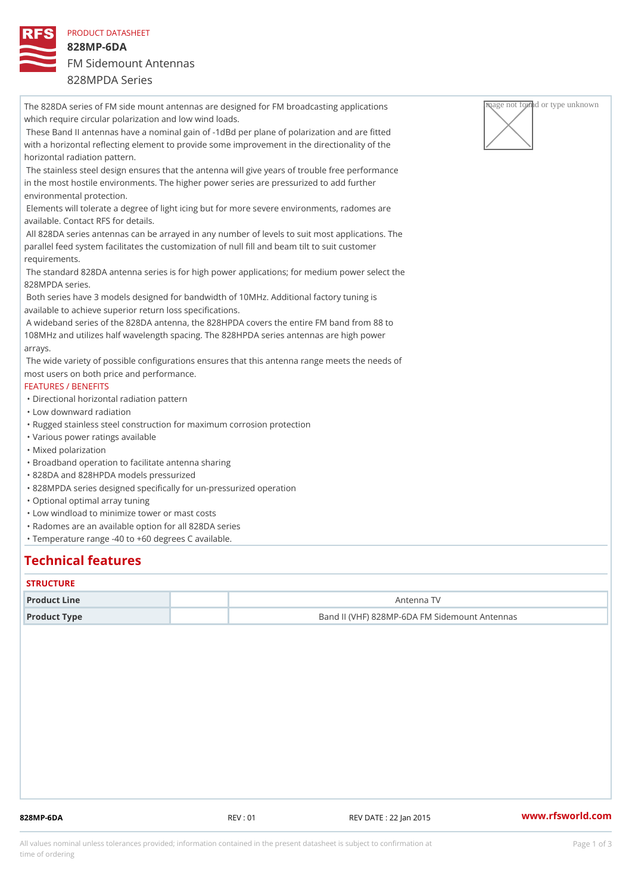PRODUCT DATASHEET 828MP-6DA FM Sidemount Antennas 828MPDA Series

The 828DA series of FM side mount antennas are designed for FM broadcas  $\sqrt{R_{\rm H}^2 Q^2}$  applied artivagnightnown which require circular polarization and low wind loads. These Band II antennas have a nominal gain of -1dBd per plane of polarization and are fitted with a horizontal reflecting element to provide some improvement in the directionality of the horizontal radiation pattern. The stainless steel design ensures that the antenna will give years of trouble free performance in the most hostile environments. The higher power series are pressurized to add further environmental protection. Elements will tolerate a degree of light icing but for more severe environments, radomes are available. Contact RFS for details. All 828DA series antennas can be arrayed in any number of levels to suit most applications. The parallel feed system facilitates the customization of null fill and beam tilt to suit customer requirements. The standard 828DA antenna series is for high power applications; for medium power select the 828MPDA series. Both series have 3 models designed for bandwidth of 10MHz. Additional factory tuning is available to achieve superior return loss specifications. A wideband series of the 828DA antenna, the 828HPDA covers the entire FM band from 88 to 108MHz and utilizes half wavelength spacing. The 828HPDA series antennas are high power arrays. The wide variety of possible configurations ensures that this antenna range meets the needs of most users on both price and performance. FEATURES / BENEFITS "Directional horizontal radiation pattern "Low downward radiation "Rugged stainless steel construction for maximum corrosion protection "Various power ratings available "Mixed polarization "Broadband operation to facilitate antenna sharing "828DA and 828HPDA models pressurized "828MPDA series designed specifically for un-pressurized operation "Optional optimal array tuning "Low windload to minimize tower or mast costs "Radomes are an available option for all 828DA series "Temperature range -40 to +60 degrees C available.

## Technical features

#### **STRUCTURE**

| Product Line | Antenna TV                                    |  |
|--------------|-----------------------------------------------|--|
| Product Type | Band II (VHF) 828MP-6DA FM Sidemount Antennas |  |

828MP-6DA REV : 01 REV DATE : 22 Jan 2015 [www.](https://www.rfsworld.com)rfsworld.com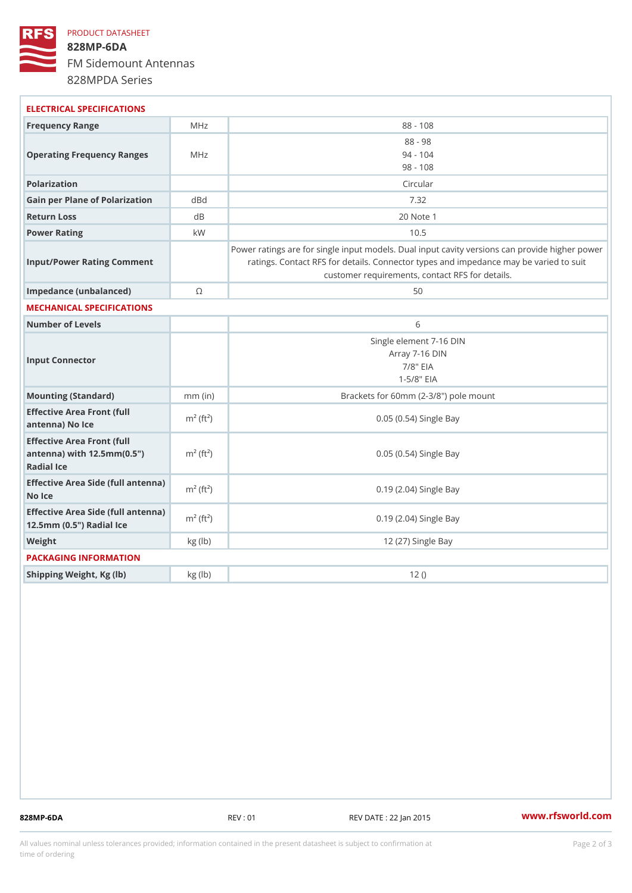## PRODUCT DATASHEET 828MP-6DA FM Sidemount Antennas 828MPDA Series

| ELECTRICAL SPECIFICATIONS                                                                                   |                          |                                                                                                                                                                                          |
|-------------------------------------------------------------------------------------------------------------|--------------------------|------------------------------------------------------------------------------------------------------------------------------------------------------------------------------------------|
| Frequency Range                                                                                             | MHz                      | $88 - 108$                                                                                                                                                                               |
| Operating Frequency RangeMeHz                                                                               |                          | $88 - 98$<br>$94 - 104$<br>$98 - 108$                                                                                                                                                    |
| Polarization                                                                                                |                          | Circular                                                                                                                                                                                 |
| Gain per Plane of Polarizat doBnd                                                                           |                          | 7.32                                                                                                                                                                                     |
| Return Loss                                                                                                 | d B                      | 20 Note 1                                                                                                                                                                                |
| Power Rating                                                                                                | k W                      | 10.5                                                                                                                                                                                     |
| Input/Power Rating Comment                                                                                  |                          | Power ratings are for single input models. Dual input cavity versid<br>ratings. Contact RFS for details. Connector types and impedand<br>customer requirements, contact RFS for details. |
| Impedance (unbalanced)                                                                                      | $\circledcirc$           | 50                                                                                                                                                                                       |
| MECHANICAL SPECIFICATIONS                                                                                   |                          |                                                                                                                                                                                          |
| Number of Levels                                                                                            |                          | 6                                                                                                                                                                                        |
| Input Connector                                                                                             |                          | Single element 7-16 DIN<br>Array 7-16 DIN<br>$7/8$ " EIA<br>$1 - 5/8$ $EIA$                                                                                                              |
| Mounting (Standard)                                                                                         | $mm$ (in)                | Brackets for 60mm (2-3/8") pole mount                                                                                                                                                    |
| Effective Area Front (full<br>antenna) No Ice                                                               | $m^2$ (ft <sup>2</sup> ) | 0.05 (0.54) Single Bay                                                                                                                                                                   |
| Effective Area Front (full<br>antenna) with $12.5$ mm $(0.5$ " $\dot{m}$ <sup>2</sup> $(ft2)$<br>Radial Ice |                          | 0.05 (0.54) Single Bay                                                                                                                                                                   |
| Effective Area Side (full antenna)<br>No Ice                                                                |                          | 0.19 (2.04) Single Bay                                                                                                                                                                   |
| Effective Area Side (full antenna)<br>12.5mm (0.5") Radial Ice                                              |                          | 0.19 (2.04) Single Bay                                                                                                                                                                   |
| Weight                                                                                                      | kg(lb)                   | 12 (27) Single Bay                                                                                                                                                                       |
| PACKAGING INFORMATION                                                                                       |                          |                                                                                                                                                                                          |
| Shipping Weight, Kg (lb)                                                                                    | kg(lb)                   | 12()                                                                                                                                                                                     |
|                                                                                                             |                          |                                                                                                                                                                                          |

828MP-6DA REV : 01 REV DATE : 22 Jan 2015 [www.](https://www.rfsworld.com)rfsworld.com